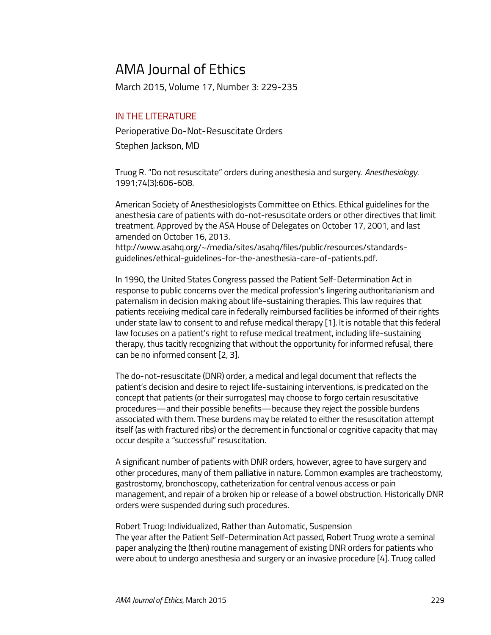# AMA Journal of Ethics

March 2015, Volume 17, Number 3: 229-235

# IN THE LITERATURE

Perioperative Do-Not-Resuscitate Orders Stephen Jackson, MD

Truog R. "Do not resuscitate" orders during anesthesia and surgery. *Anesthesiology*. 1991;74(3):606-608.

American Society of Anesthesiologists Committee on Ethics. Ethical guidelines for the anesthesia care of patients with do-not-resuscitate orders or other directives that limit treatment. Approved by the ASA House of Delegates on October 17, 2001, and last amended on October 16, 2013.

http://www.asahq.org/~/media/sites/asahq/files/public/resources/standardsguidelines/ethical-guidelines-for-the-anesthesia-care-of-patients.pdf.

In 1990, the United States Congress passed the Patient Self-Determination Act in response to public concerns over the medical profession's lingering authoritarianism and paternalism in decision making about life-sustaining therapies. This law requires that patients receiving medical care in federally reimbursed facilities be informed of their rights under state law to consent to and refuse medical therapy [1]. It is notable that this federal law focuses on a patient's right to refuse medical treatment, including life-sustaining therapy, thus tacitly recognizing that without the opportunity for informed refusal, there can be no informed consent [2, 3].

The do-not-resuscitate (DNR) order, a medical and legal document that reflects the patient's decision and desire to reject life-sustaining interventions, is predicated on the concept that patients (or their surrogates) may choose to forgo certain resuscitative procedures—and their possible benefits—because they reject the possible burdens associated with them. These burdens may be related to either the resuscitation attempt itself (as with fractured ribs) or the decrement in functional or cognitive capacity that may occur despite a "successful" resuscitation.

A significant number of patients with DNR orders, however, agree to have surgery and other procedures, many of them palliative in nature. Common examples are tracheostomy, gastrostomy, bronchoscopy, catheterization for central venous access or pain management, and repair of a broken hip or release of a bowel obstruction. Historically DNR orders were suspended during such procedures.

Robert Truog: Individualized, Rather than Automatic, Suspension The year after the Patient Self-Determination Act passed, Robert Truog wrote a seminal paper analyzing the (then) routine management of existing DNR orders for patients who were about to undergo anesthesia and surgery or an invasive procedure [4]. Truog called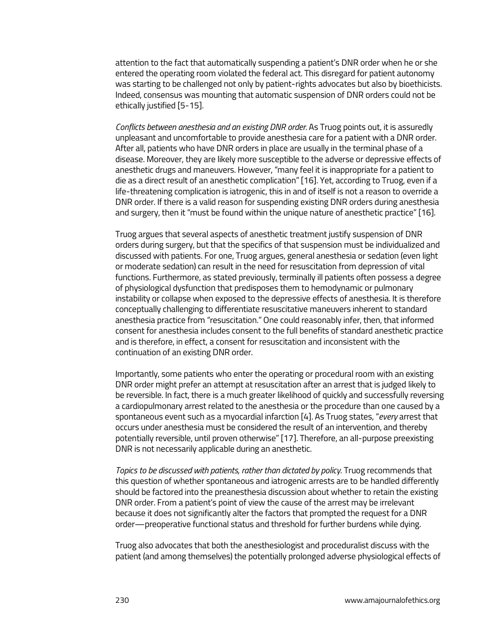attention to the fact that automatically suspending a patient's DNR order when he or she entered the operating room violated the federal act. This disregard for patient autonomy was starting to be challenged not only by patient-rights advocates but also by bioethicists. Indeed, consensus was mounting that automatic suspension of DNR orders could not be ethically justified [5-15].

*Conflicts between anesthesia and an existing DNR order.* As Truog points out, it is assuredly unpleasant and uncomfortable to provide anesthesia care for a patient with a DNR order. After all, patients who have DNR orders in place are usually in the terminal phase of a disease. Moreover, they are likely more susceptible to the adverse or depressive effects of anesthetic drugs and maneuvers. However, "many feel it is inappropriate for a patient to die as a direct result of an anesthetic complication" [16]. Yet, according to Truog, even if a life-threatening complication is iatrogenic, this in and of itself is not a reason to override a DNR order. If there is a valid reason for suspending existing DNR orders during anesthesia and surgery, then it "must be found within the unique nature of anesthetic practice" [16].

Truog argues that several aspects of anesthetic treatment justify suspension of DNR orders during surgery, but that the specifics of that suspension must be individualized and discussed with patients. For one, Truog argues, general anesthesia or sedation (even light or moderate sedation) can result in the need for resuscitation from depression of vital functions. Furthermore, as stated previously, terminally ill patients often possess a degree of physiological dysfunction that predisposes them to hemodynamic or pulmonary instability or collapse when exposed to the depressive effects of anesthesia. It is therefore conceptually challenging to differentiate resuscitative maneuvers inherent to standard anesthesia practice from "resuscitation." One could reasonably infer, then, that informed consent for anesthesia includes consent to the full benefits of standard anesthetic practice and is therefore, in effect, a consent for resuscitation and inconsistent with the continuation of an existing DNR order.

Importantly, some patients who enter the operating or procedural room with an existing DNR order might prefer an attempt at resuscitation after an arrest that is judged likely to be reversible. In fact, there is a much greater likelihood of quickly and successfully reversing a cardiopulmonary arrest related to the anesthesia or the procedure than one caused by a spontaneous event such as a myocardial infarction [4]. As Truog states, "*every* arrest that occurs under anesthesia must be considered the result of an intervention, and thereby potentially reversible, until proven otherwise"[17]. Therefore, an all-purpose preexisting DNR is not necessarily applicable during an anesthetic.

*Topics to be discussed with patients, rather than dictated by policy.* Truog recommends that this question of whether spontaneous and iatrogenic arrests are to be handled differently should be factored into the preanesthesia discussion about whether to retain the existing DNR order. From a patient's point of view the cause of the arrest may be irrelevant because it does not significantly alter the factors that prompted the request for a DNR order—preoperative functional status and threshold for further burdens while dying.

Truog also advocates that both the anesthesiologist and proceduralist discuss with the patient (and among themselves) the potentially prolonged adverse physiological effects of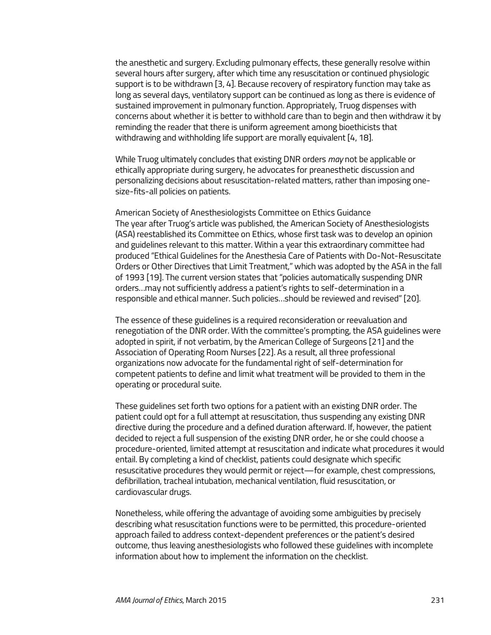the anesthetic and surgery. Excluding pulmonary effects, these generally resolve within several hours after surgery, after which time any resuscitation or continued physiologic support is to be withdrawn [3, 4]. Because recovery of respiratory function may take as long as several days, ventilatory support can be continued as long as there is evidence of sustained improvement in pulmonary function. Appropriately, Truog dispenses with concerns about whether it is better to withhold care than to begin and then withdraw it by reminding the reader that there is uniform agreement among bioethicists that withdrawing and withholding life support are morally equivalent [4, 18].

While Truog ultimately concludes that existing DNR orders *may* not be applicable or ethically appropriate during surgery, he advocates for preanesthetic discussion and personalizing decisions about resuscitation-related matters, rather than imposing onesize-fits-all policies on patients.

American Society of Anesthesiologists Committee on Ethics Guidance The year after Truog's article was published, the American Society of Anesthesiologists (ASA) reestablished its Committee on Ethics, whose first task was to develop an opinion and guidelines relevant to this matter. Within a year this extraordinary committee had produced "Ethical Guidelines for the Anesthesia Care of Patients with Do-Not-Resuscitate Orders or Other Directives that Limit Treatment," which was adopted by the ASA in the fall of 1993 [19]. The current version states that "policies automatically suspending DNR orders…may not sufficiently address a patient's rights to self-determination in a responsible and ethical manner. Such policies…should be reviewed and revised" [20].

The essence of these guidelines is a required reconsideration or reevaluation and renegotiation of the DNR order. With the committee's prompting, the ASA guidelines were adopted in spirit, if not verbatim, by the American College of Surgeons [21] and the Association of Operating Room Nurses [22]. As a result, all three professional organizations now advocate for the fundamental right of self-determination for competent patients to define and limit what treatment will be provided to them in the operating or procedural suite.

These guidelines set forth two options for a patient with an existing DNR order. The patient could opt for a full attempt at resuscitation, thus suspending any existing DNR directive during the procedure and a defined duration afterward. If, however, the patient decided to reject a full suspension of the existing DNR order, he or she could choose a procedure-oriented, limited attempt at resuscitation and indicate what procedures it would entail. By completing a kind of checklist, patients could designate which specific resuscitative procedures they would permit or reject—for example, chest compressions, defibrillation, tracheal intubation, mechanical ventilation, fluid resuscitation, or cardiovascular drugs.

Nonetheless, while offering the advantage of avoiding some ambiguities by precisely describing what resuscitation functions were to be permitted, this procedure-oriented approach failed to address context-dependent preferences or the patient's desired outcome, thus leaving anesthesiologists who followed these guidelines with incomplete information about how to implement the information on the checklist.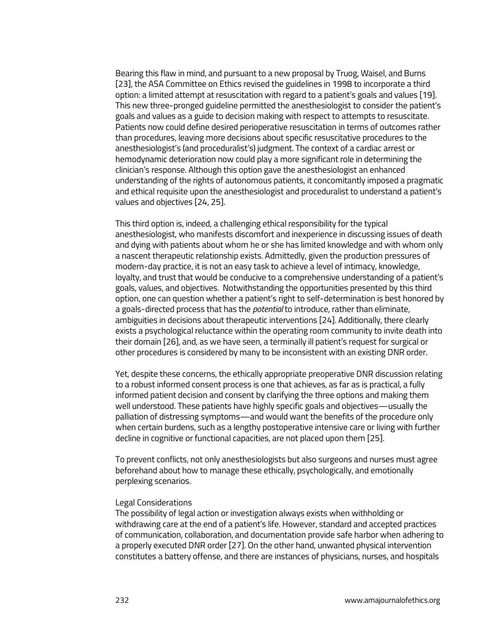Bearing this flaw in mind, and pursuant to a new proposal by Truog, Waisel, and Burns [23], the ASA Committee on Ethics revised the guidelines in 1998 to incorporate a third option: a limited attempt at resuscitation with regard to a patient's goals and values [19]. This new three-pronged guideline permitted the anesthesiologist to consider the patient's goals and values as a guide to decision making with respect to attempts to resuscitate. Patients now could define desired perioperative resuscitation in terms of outcomes rather than procedures, leaving more decisions about specific resuscitative procedures to the anesthesiologist's (and proceduralist's) judgment. The context of a cardiac arrest or hemodynamic deterioration now could play a more significant role in determining the clinician's response. Although this option gave the anesthesiologist an enhanced understanding of the rights of autonomous patients, it concomitantly imposed a pragmatic and ethical requisite upon the anesthesiologist and proceduralist to understand a patient's values and objectives [24, 25].

This third option is, indeed, a challenging ethical responsibility for the typical anesthesiologist, who manifests discomfort and inexperience in discussing issues of death and dying with patients about whom he or she has limited knowledge and with whom only a nascent therapeutic relationship exists. Admittedly, given the production pressures of modern-day practice, it is not an easy task to achieve a level of intimacy, knowledge, loyalty, and trust that would be conducive to a comprehensive understanding of a patient's goals, values, and objectives. Notwithstanding the opportunities presented by this third option, one can question whether a patient's right to self-determination is best honored by a goals-directed process that has the *potential* to introduce, rather than eliminate, ambiguities in decisions about therapeutic interventions [24]. Additionally, there clearly exists a psychological reluctance within the operating room community to invite death into their domain [26], and, as we have seen, a terminally ill patient's request for surgical or other procedures is considered by many to be inconsistent with an existing DNR order.

Yet, despite these concerns, the ethically appropriate preoperative DNR discussion relating to a robust informed consent process is one that achieves, as far as is practical, a fully informed patient decision and consent by clarifying the three options and making them well understood. These patients have highly specific goals and objectives—usually the palliation of distressing symptoms—and would want the benefits of the procedure only when certain burdens, such as a lengthy postoperative intensive care or living with further decline in cognitive or functional capacities, are not placed upon them [25].

To prevent conflicts, not only anesthesiologists but also surgeons and nurses must agree beforehand about how to manage these ethically, psychologically, and emotionally perplexing scenarios.

#### Legal Considerations

The possibility of legal action or investigation always exists when withholding or withdrawing care at the end of a patient's life. However, standard and accepted practices of communication, collaboration, and documentation provide safe harbor when adhering to a properly executed DNR order [27]. On the other hand, unwanted physical intervention constitutes a battery offense, and there are instances of physicians, nurses, and hospitals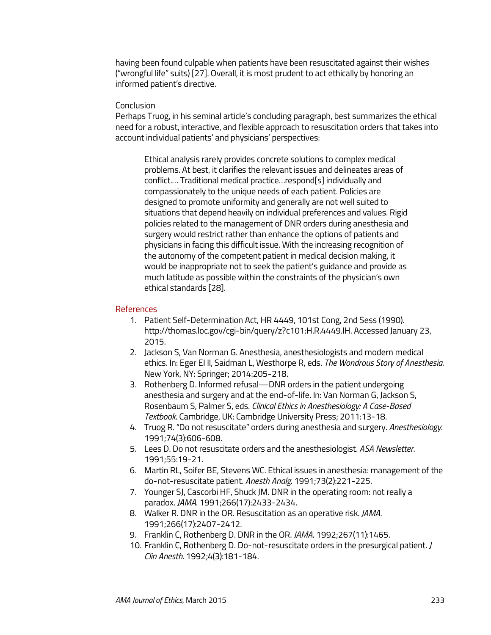having been found culpable when patients have been resuscitated against their wishes ("wrongful life" suits) [27]. Overall, it is most prudent to act ethically by honoring an informed patient's directive.

## Conclusion

Perhaps Truog, in his seminal article's concluding paragraph, best summarizes the ethical need for a robust, interactive, and flexible approach to resuscitation orders that takes into account individual patients' and physicians' perspectives:

Ethical analysis rarely provides concrete solutions to complex medical problems. At best, it clarifies the relevant issues and delineates areas of conflict.… Traditional medical practice…respond[s] individually and compassionately to the unique needs of each patient. Policies are designed to promote uniformity and generally are not well suited to situations that depend heavily on individual preferences and values. Rigid policies related to the management of DNR orders during anesthesia and surgery would restrict rather than enhance the options of patients and physicians in facing this difficult issue. With the increasing recognition of the autonomy of the competent patient in medical decision making, it would be inappropriate not to seek the patient's guidance and provide as much latitude as possible within the constraints of the physician's own ethical standards [28].

### References

- 1. Patient Self-Determination Act, HR 4449, 101st Cong, 2nd Sess (1990). http://thomas.loc.gov/cgi-bin/query/z?c101:H.R.4449.IH. Accessed January 23, 2015.
- 2. Jackson S, Van Norman G. Anesthesia, anesthesiologists and modern medical ethics. In: Eger EI II, Saidman L, Westhorpe R, eds. *The Wondrous Story of Anesthesia*. New York, NY: Springer; 2014:205-218.
- 3. Rothenberg D. Informed refusal—DNR orders in the patient undergoing anesthesia and surgery and at the end-of-life. In: Van Norman G, Jackson S, Rosenbaum S, Palmer S, eds. *Clinical Ethics in Anesthesiology: A Case-Based Textbook*. Cambridge, UK: Cambridge University Press; 2011:13-18.
- 4. Truog R. "Do not resuscitate" orders during anesthesia and surgery. *Anesthesiology*. 1991;74(3):606-608.
- 5. Lees D. Do not resuscitate orders and the anesthesiologist. *ASA Newsletter*. 1991;55:19-21.
- 6. Martin RL, Soifer BE, Stevens WC. Ethical issues in anesthesia: management of the do-not-resuscitate patient. *Anesth Analg*. 1991;73(2):221-225.
- 7. Younger SJ, Cascorbi HF, Shuck JM. DNR in the operating room: not really a paradox. *JAMA*. 1991;266(17):2433-2434.
- 8. Walker R. DNR in the OR. Resuscitation as an operative risk. *JAMA*. 1991;266(17):2407-2412.
- 9. Franklin C, Rothenberg D. DNR in the OR. *JAMA*. 1992;267(11):1465.
- 10. Franklin C, Rothenberg D. Do-not-resuscitate orders in the presurgical patient. *J Clin Anesth*. 1992;4(3):181-184.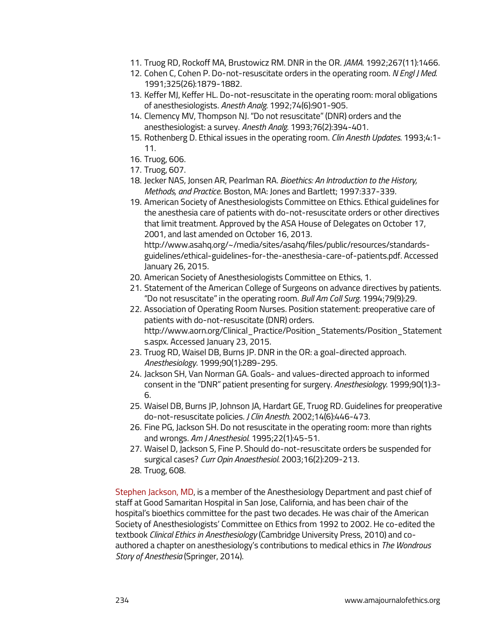- 11. Truog RD, Rockoff MA, Brustowicz RM. DNR in the OR. *JAMA*. 1992;267(11):1466.
- 12. Cohen C, Cohen P. Do-not-resuscitate orders in the operating room. *N Engl J Med*. 1991;325(26):1879-1882.
- 13. Keffer MJ, Keffer HL. Do-not-resuscitate in the operating room: moral obligations of anesthesiologists. *Anesth Analg*. 1992;74(6):901-905.
- 14. Clemency MV, Thompson NJ. "Do not resuscitate" (DNR) orders and the anesthesiologist: a survey. *Anesth Analg*. 1993;76(2):394-401.
- 15. Rothenberg D. Ethical issues in the operating room. *Clin Anesth Updates*. 1993;4:1- 11.
- 16. Truog, 606.
- 17. Truog, 607.
- 18. Jecker NAS, Jonsen AR, Pearlman RA. *Bioethics: An Introduction to the History, Methods, and Practice*. Boston, MA: Jones and Bartlett; 1997:337-339.
- 19. American Society of Anesthesiologists Committee on Ethics. Ethical guidelines for the anesthesia care of patients with do-not-resuscitate orders or other directives that limit treatment. Approved by the ASA House of Delegates on October 17, 2001, and last amended on October 16, 2013.

http://www.asahq.org/~/media/sites/asahq/files/public/resources/standardsguidelines/ethical-guidelines-for-the-anesthesia-care-of-patients.pdf. Accessed January 26, 2015.

- 20. American Society of Anesthesiologists Committee on Ethics, 1.
- 21. Statement of the American College of Surgeons on advance directives by patients. "Do not resuscitate"in the operating room. *Bull Am Coll Surg*. 1994;79(9):29.
- 22. Association of Operating Room Nurses. Position statement: preoperative care of patients with do-not-resuscitate (DNR) orders. http://www.aorn.org/Clinical\_Practice/Position\_Statements/Position\_Statement s.aspx. Accessed January 23, 2015.
- 23. Truog RD, Waisel DB, Burns JP. DNR in the OR: a goal-directed approach. *Anesthesiology*. 1999;90(1):289-295.
- 24. Jackson SH, Van Norman GA. Goals- and values-directed approach to informed consent in the "DNR" patient presenting for surgery. *Anesthesiology*. 1999;90(1):3- 6.
- 25. Waisel DB, Burns JP, Johnson JA, Hardart GE, Truog RD. Guidelines for preoperative do-not-resuscitate policies. *J Clin Anesth*. 2002;14(6):446-473.
- 26. Fine PG, Jackson SH. Do not resuscitate in the operating room: more than rights and wrongs. *Am J Anesthesiol*. 1995;22(1):45-51.
- 27. Waisel D, Jackson S, Fine P. Should do-not-resuscitate orders be suspended for surgical cases? *Curr Opin Anaesthesiol*. 2003;16(2):209-213.
- 28. Truog, 608.

Stephen Jackson, MD, is a member of the Anesthesiology Department and past chief of staff at Good Samaritan Hospital in San Jose, California, and has been chair of the hospital's bioethics committee for the past two decades. He was chair of the American Society of Anesthesiologists' Committee on Ethics from 1992 to 2002. He co-edited the textbook *Clinical Ethics in Anesthesiology* (Cambridge University Press, 2010) and coauthored a chapter on anesthesiology's contributions to medical ethics in *The Wondrous Story of Anesthesia* (Springer, 2014).